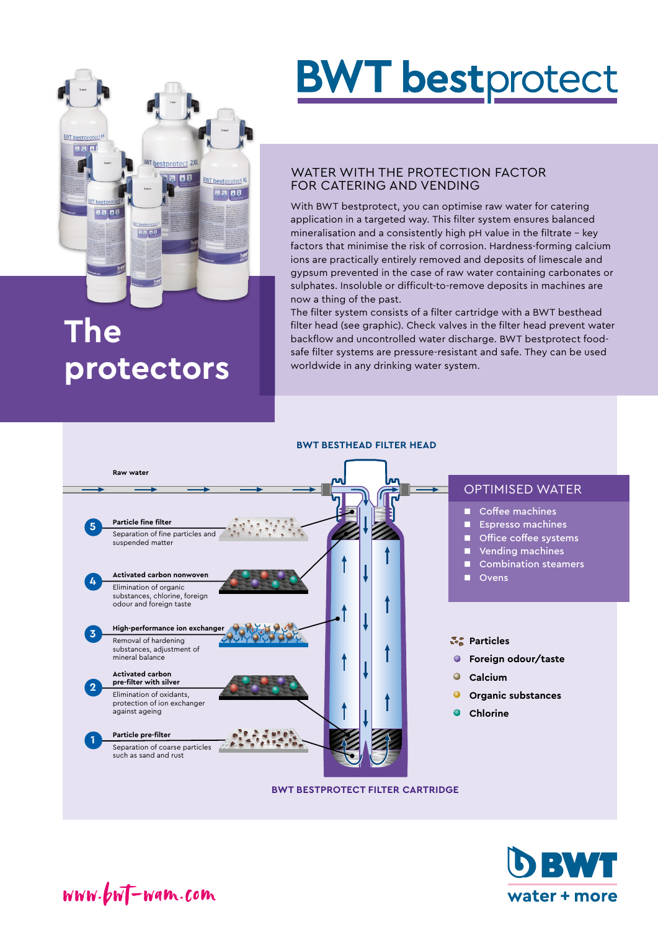

### **The protectors**

www.bwt-wam.com

## **BWT bestprotect**

#### WATER WITH THE PROTECTION FACTOR FOR CATERING AND VENDING

With BWT bestprotect, you can optimise raw water for catering application in a targeted way. This filter system ensures balanced mineralisation and a consistently high pH value in the filtrate – key factors that minimise the risk of corrosion. Hardness-forming calcium ions are practically entirely removed and deposits of limescale and gypsum prevented in the case of raw water containing carbonates or sulphates. Insoluble or difficult-to-remove deposits in machines are now a thing of the past.

The filter system consists of a filter cartridge with a BWT besthead filter head (see graphic). Check valves in the filter head prevent water backflow and uncontrolled water discharge. BWT bestprotect foodsafe filter systems are pressure-resistant and safe. They can be used worldwide in any drinking water system.